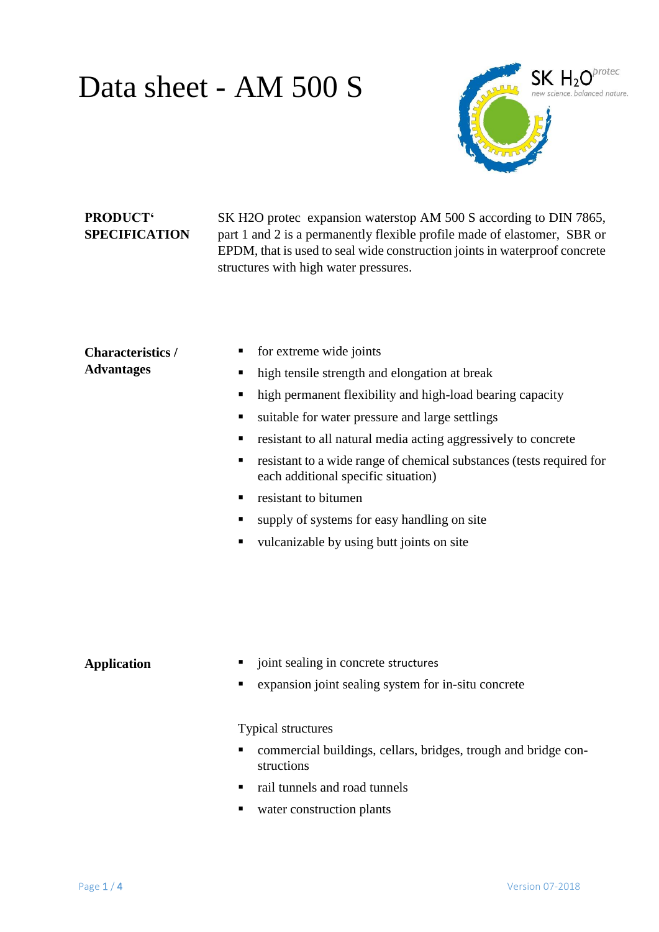# Data sheet - AM 500 S



## **PRODUCT' SPECIFICATION**

SK H2O protec expansion waterstop AM 500 S according to DIN 7865, part 1 and 2 is a permanently flexible profile made of elastomer, SBR or EPDM, that is used to seal wide construction joints in waterproof concrete structures with high water pressures.

| <b>Characteristics</b> /<br><b>Advantages</b> | for extreme wide joints<br>high tensile strength and elongation at break<br>٠<br>high permanent flexibility and high-load bearing capacity<br>٠<br>suitable for water pressure and large settlings<br>٠<br>resistant to all natural media acting aggressively to concrete<br>٠<br>resistant to a wide range of chemical substances (tests required for<br>п<br>each additional specific situation)<br>resistant to bitumen<br>supply of systems for easy handling on site<br>٠<br>vulcanizable by using butt joints on site<br>٠ |
|-----------------------------------------------|----------------------------------------------------------------------------------------------------------------------------------------------------------------------------------------------------------------------------------------------------------------------------------------------------------------------------------------------------------------------------------------------------------------------------------------------------------------------------------------------------------------------------------|
| <b>Application</b>                            | joint sealing in concrete structures<br>expansion joint sealing system for in-situ concrete<br>п                                                                                                                                                                                                                                                                                                                                                                                                                                 |

Typical structures

- commercial buildings, cellars, bridges, trough and bridge constructions
- rail tunnels and road tunnels
- water construction plants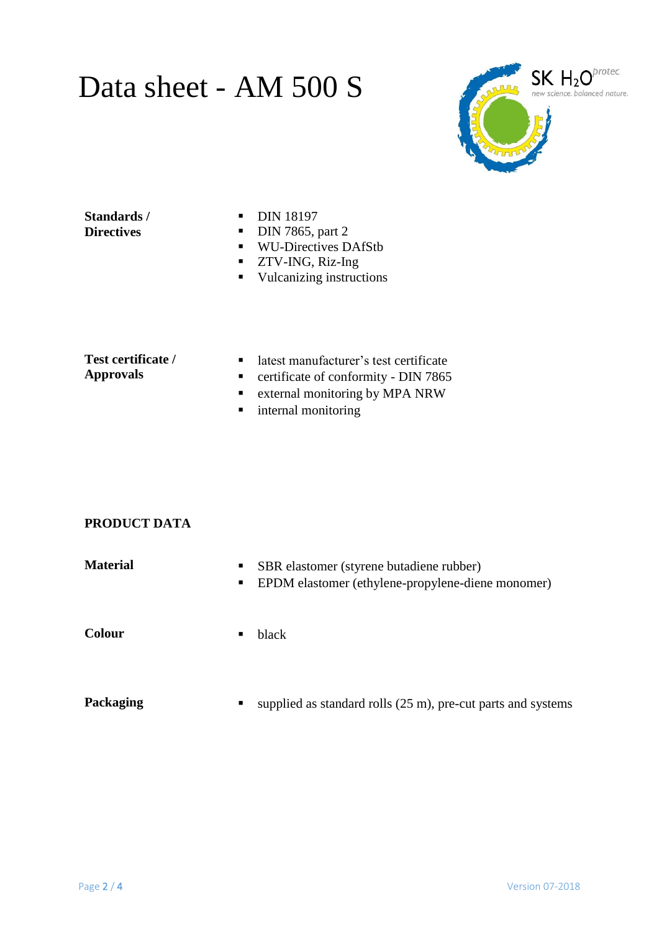# Data sheet - AM 500 S



#### **Standards / Directives**

- **DIN 18197**
- $\nightharpoonup$  DIN 7865, part 2
- **WU-Directives DAfStb**
- **TECT 25 TWO 25 TWO 25 TWO 25 TWO 25 TWO 25 TWO 25 TWO 25 TWO 25 TWO 25 TWO 25 TWO 25 TWO 25 TWO 25 TWO 25 TWO 25 TWO 25 TWO 25 TWO 25 TWO 25 TWO 25 TWO 25 TWO 25 TWO 25 TWO 25 TWO 25 TWO 25 TWO 25 TWO 26 TWO 26 TWO 26 TWO**
- **vulcanizing instructions**

#### **Test certificate / Approvals**

- latest manufacturer's test certificate
- **•** certificate of conformity DIN 7865
- **External monitoring by MPA NRW**
- **n** internal monitoring

## **PRODUCT DATA**

| <b>Material</b> | $\blacksquare$<br>$\blacksquare$ . | SBR elastomer (styrene butadiene rubber)<br>EPDM elastomer (ethylene-propylene-diene monomer) |
|-----------------|------------------------------------|-----------------------------------------------------------------------------------------------|
| <b>Colour</b>   |                                    | black                                                                                         |
|                 |                                    |                                                                                               |

**Packaging** supplied as standard rolls (25 m), pre-cut parts and systems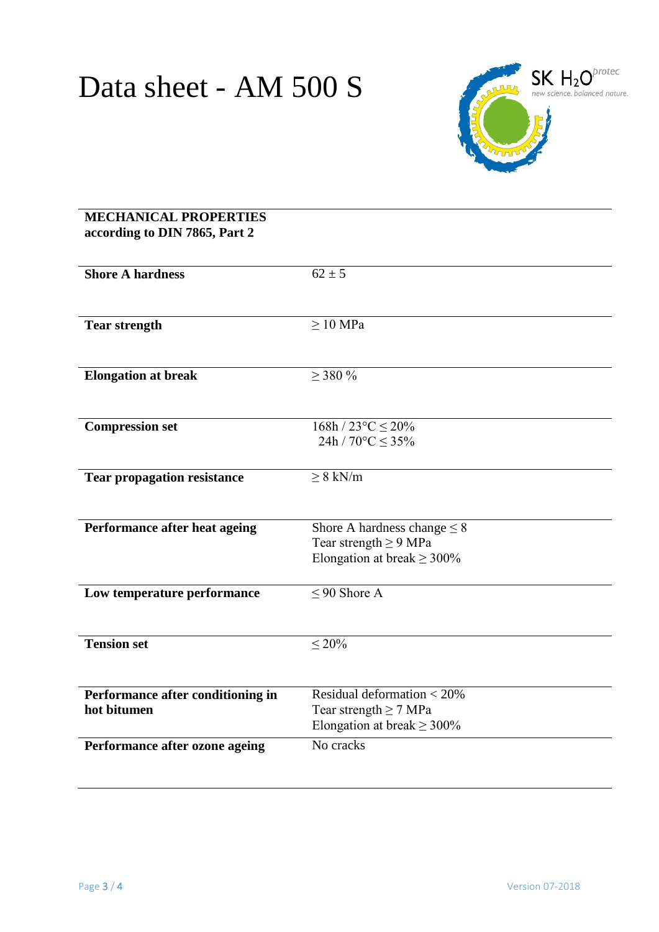

### **MECHANICAL PROPERTIES according to DIN 7865, Part 2**

| <b>Shore A hardness</b>            | $62 \pm 5$                                                    |
|------------------------------------|---------------------------------------------------------------|
|                                    |                                                               |
|                                    |                                                               |
| <b>Tear strength</b>               | $>10$ MPa                                                     |
|                                    |                                                               |
|                                    |                                                               |
| <b>Elongation at break</b>         | $>$ 380 %                                                     |
|                                    |                                                               |
| <b>Compression set</b>             | $168h / 23^{\circ}C \leq 20\%$                                |
|                                    | 24h / $70^{\circ}$ C $\leq$ 35%                               |
|                                    |                                                               |
| <b>Tear propagation resistance</b> | $\geq 8$ kN/m                                                 |
|                                    |                                                               |
|                                    |                                                               |
| Performance after heat ageing      | Shore A hardness change $\leq 8$                              |
|                                    | Tear strength $\geq$ 9 MPa<br>Elongation at break $\geq$ 300% |
|                                    |                                                               |
| Low temperature performance        | $\leq$ 90 Shore A                                             |
|                                    |                                                               |
|                                    |                                                               |
| <b>Tension set</b>                 | $\leq 20\%$                                                   |
|                                    |                                                               |
| Performance after conditioning in  | Residual deformation $< 20\%$                                 |
| hot bitumen                        | Tear strength $\geq$ 7 MPa                                    |
|                                    | Elongation at break $\geq$ 300%                               |
| Performance after ozone ageing     | No cracks                                                     |
|                                    |                                                               |
|                                    |                                                               |